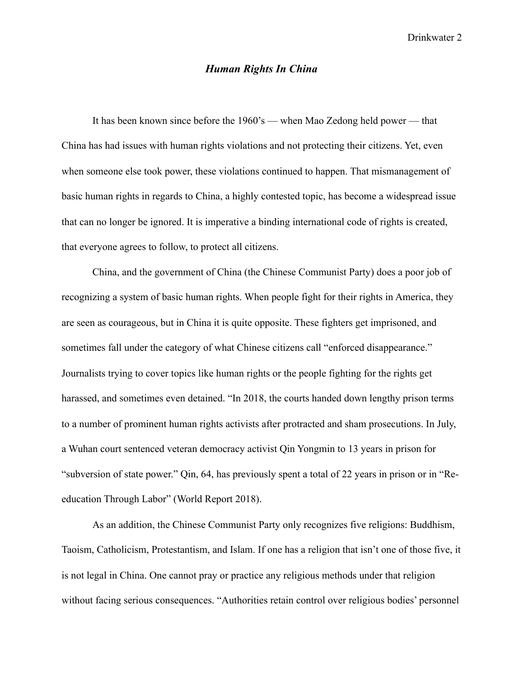## *Human Rights In China*

 It has been known since before the 1960's — when Mao Zedong held power — that China has had issues with human rights violations and not protecting their citizens. Yet, even when someone else took power, these violations continued to happen. That mismanagement of basic human rights in regards to China, a highly contested topic, has become a widespread issue that can no longer be ignored. It is imperative a binding international code of rights is created, that everyone agrees to follow, to protect all citizens.

 China, and the government of China (the Chinese Communist Party) does a poor job of recognizing a system of basic human rights. When people fight for their rights in America, they are seen as courageous, but in China it is quite opposite. These fighters get imprisoned, and sometimes fall under the category of what Chinese citizens call "enforced disappearance." Journalists trying to cover topics like human rights or the people fighting for the rights get harassed, and sometimes even detained. "In 2018, the courts handed down lengthy prison terms to a number of prominent human rights activists after protracted and sham prosecutions. In July, a Wuhan court sentenced veteran democracy activist Qin Yongmin to 13 years in prison for "subversion of state power." Qin, 64, has previously spent a total of 22 years in prison or in "Reeducation Through Labor" (World Report 2018).

 As an addition, the Chinese Communist Party only recognizes five religions: Buddhism, Taoism, Catholicism, Protestantism, and Islam. If one has a religion that isn't one of those five, it is not legal in China. One cannot pray or practice any religious methods under that religion without facing serious consequences. "Authorities retain control over religious bodies' personnel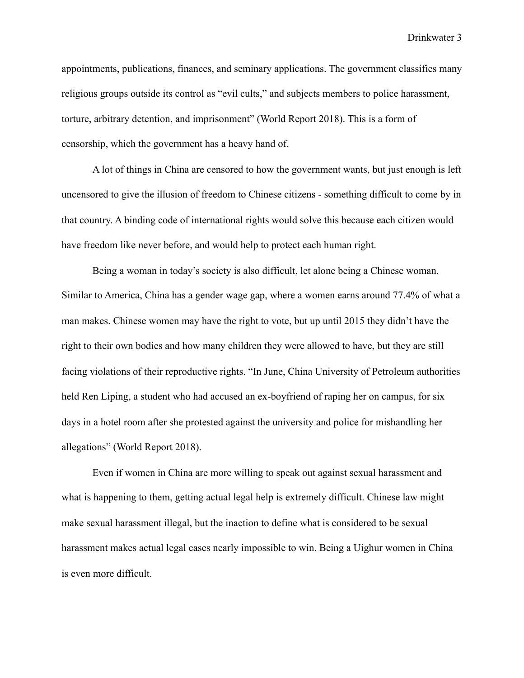Drinkwater 3

appointments, publications, finances, and seminary applications. The government classifies many religious groups outside its control as "evil cults," and subjects members to police harassment, torture, arbitrary detention, and imprisonment" (World Report 2018). This is a form of censorship, which the government has a heavy hand of.

 A lot of things in China are censored to how the government wants, but just enough is left uncensored to give the illusion of freedom to Chinese citizens - something difficult to come by in that country. A binding code of international rights would solve this because each citizen would have freedom like never before, and would help to protect each human right.

 Being a woman in today's society is also difficult, let alone being a Chinese woman. Similar to America, China has a gender wage gap, where a women earns around 77.4% of what a man makes. Chinese women may have the right to vote, but up until 2015 they didn't have the right to their own bodies and how many children they were allowed to have, but they are still facing violations of their reproductive rights. "In June, China University of Petroleum authorities held Ren Liping, a student who had accused an ex-boyfriend of raping her on campus, for six days in a hotel room after she protested against the university and police for mishandling her allegations" (World Report 2018).

 Even if women in China are more willing to speak out against sexual harassment and what is happening to them, getting actual legal help is extremely difficult. Chinese law might make sexual harassment illegal, but the inaction to define what is considered to be sexual harassment makes actual legal cases nearly impossible to win. Being a Uighur women in China is even more difficult.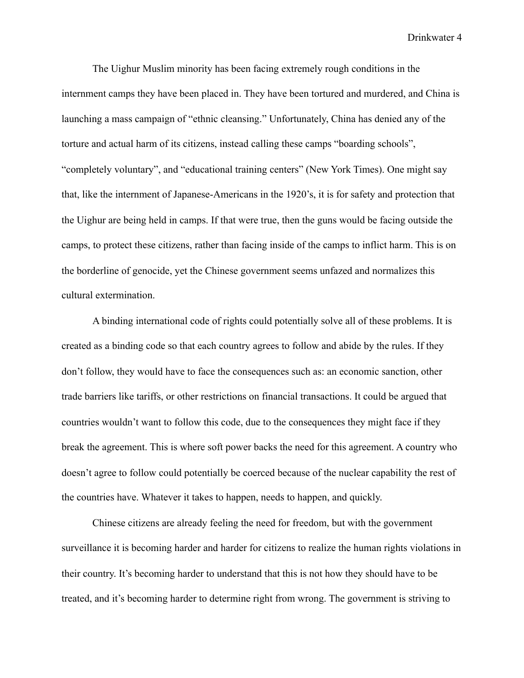Drinkwater 4

 The Uighur Muslim minority has been facing extremely rough conditions in the internment camps they have been placed in. They have been tortured and murdered, and China is launching a mass campaign of "ethnic cleansing." Unfortunately, China has denied any of the torture and actual harm of its citizens, instead calling these camps "boarding schools", "completely voluntary", and "educational training centers" (New York Times). One might say that, like the internment of Japanese-Americans in the 1920's, it is for safety and protection that the Uighur are being held in camps. If that were true, then the guns would be facing outside the camps, to protect these citizens, rather than facing inside of the camps to inflict harm. This is on the borderline of genocide, yet the Chinese government seems unfazed and normalizes this cultural extermination.

A binding international code of rights could potentially solve all of these problems. It is created as a binding code so that each country agrees to follow and abide by the rules. If they don't follow, they would have to face the consequences such as: an economic sanction, other trade barriers like tariffs, or other restrictions on financial transactions. It could be argued that countries wouldn't want to follow this code, due to the consequences they might face if they break the agreement. This is where soft power backs the need for this agreement. A country who doesn't agree to follow could potentially be coerced because of the nuclear capability the rest of the countries have. Whatever it takes to happen, needs to happen, and quickly.

 Chinese citizens are already feeling the need for freedom, but with the government surveillance it is becoming harder and harder for citizens to realize the human rights violations in their country. It's becoming harder to understand that this is not how they should have to be treated, and it's becoming harder to determine right from wrong. The government is striving to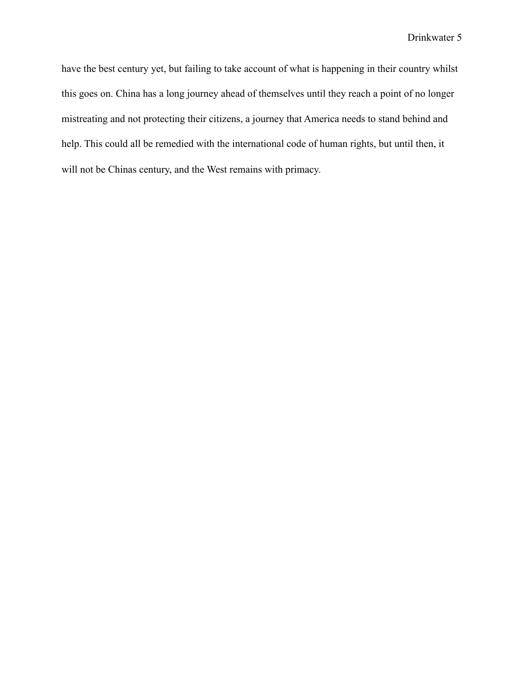have the best century yet, but failing to take account of what is happening in their country whilst this goes on. China has a long journey ahead of themselves until they reach a point of no longer mistreating and not protecting their citizens, a journey that America needs to stand behind and help. This could all be remedied with the international code of human rights, but until then, it will not be Chinas century, and the West remains with primacy.